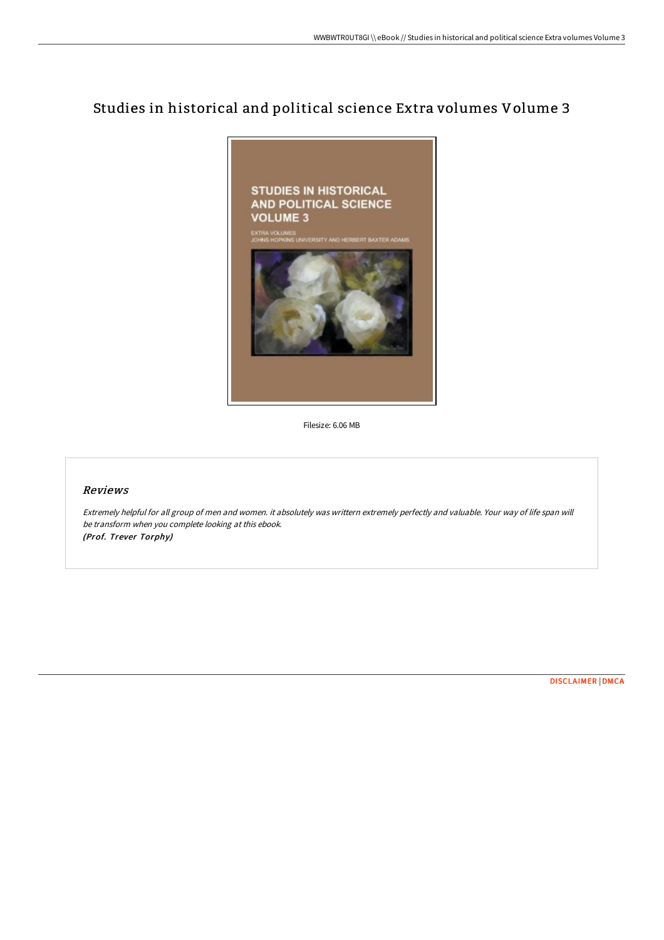## Studies in historical and political science Extra volumes Volume 3



Filesize: 6.06 MB

## Reviews

Extremely helpful for all group of men and women. it absolutely was writtern extremely perfectly and valuable. Your way of life span will be transform when you complete looking at this ebook. (Prof. Trever Torphy)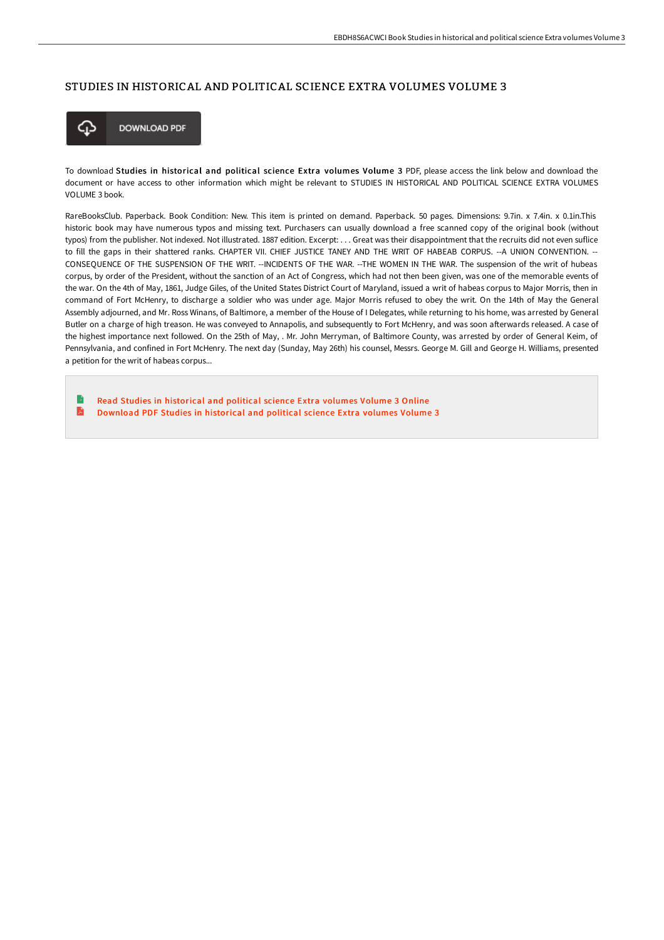## STUDIES IN HISTORICAL AND POLITICAL SCIENCE EXTRA VOLUMES VOLUME 3



To download Studies in historical and political science Extra volumes Volume 3 PDF, please access the link below and download the document or have access to other information which might be relevant to STUDIES IN HISTORICAL AND POLITICAL SCIENCE EXTRA VOLUMES VOLUME 3 book.

RareBooksClub. Paperback. Book Condition: New. This item is printed on demand. Paperback. 50 pages. Dimensions: 9.7in. x 7.4in. x 0.1in.This historic book may have numerous typos and missing text. Purchasers can usually download a free scanned copy of the original book (without typos) from the publisher. Not indexed. Not illustrated. 1887 edition. Excerpt: . . . Great was their disappointment that the recruits did not even suflice to fill the gaps in their shattered ranks. CHAPTER VII. CHIEF JUSTICE TANEY AND THE WRIT OF HABEAB CORPUS. --A UNION CONVENTION. -- CONSEQUENCE OF THE SUSPENSION OF THE WRIT. --INCIDENTS OF THE WAR. --THE WOMEN IN THE WAR. The suspension of the writ of hubeas corpus, by order of the President, without the sanction of an Act of Congress, which had not then been given, was one of the memorable events of the war. On the 4th of May, 1861, Judge Giles, of the United States District Court of Maryland, issued a writ of habeas corpus to Major Morris, then in command of Fort McHenry, to discharge a soldier who was under age. Major Morris refused to obey the writ. On the 14th of May the General Assembly adjourned, and Mr. Ross Winans, of Baltimore, a member of the House of I Delegates, while returning to his home, was arrested by General Butler on a charge of high treason. He was conveyed to Annapolis, and subsequently to Fort McHenry, and was soon aFerwards released. A case of the highest importance next followed. On the 25th of May, . Mr. John Merryman, of Baltimore County, was arrested by order of General Keim, of Pennsylvania, and confined in Fort McHenry. The next day (Sunday, May 26th) his counsel, Messrs. George M. Gill and George H. Williams, presented a petition for the writ of habeas corpus...

B Read Studies in [historical](http://techno-pub.tech/studies-in-historical-and-political-science-extr.html) and political science Extra volumes Volume 3 Online R [Download](http://techno-pub.tech/studies-in-historical-and-political-science-extr.html) PDF Studies in historical and political science Extra volumes Volume 3